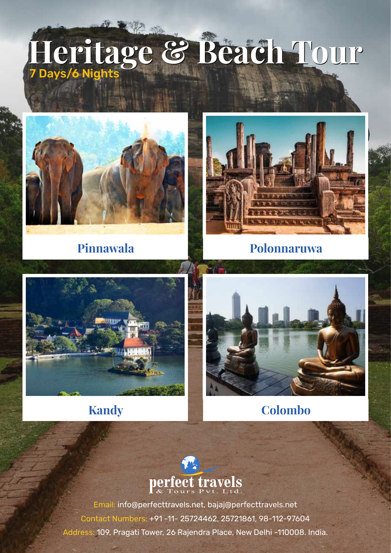# **Heritage & Beach Tour Heritage & Beach Tour** 7 Days/6 Nights



**Pinnawala Polonnaruwa**







**Kandy Colombo**

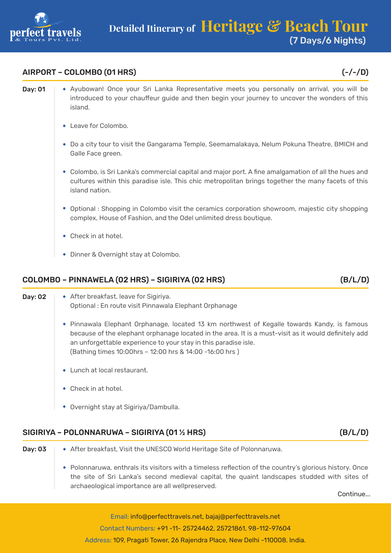

## AIRPORT – COLOMBO (01 HRS) (-/-/D)

- Day: 01 | Ayubowan! Once your Sri Lanka Representative meets you personally on arrival, you will be introduced to your chauffeur guide and then begin your journey to uncover the wonders of this island.
	- Leave for Colombo.
	- Do a city tour to visit the Gangarama Temple, Seemamalakaya, Nelum Pokuna Theatre, BMICH and Galle Face green.
	- Colombo, is Sri Lanka's commercial capital and major port. A fine amalgamation of all the hues and cultures within this paradise isle. This chic metropolitan brings together the many facets of this island nation.
	- Optional : Shopping in Colombo visit the ceramics corporation showroom, majestic city shopping complex, House of Fashion, and the Odel unlimited dress boutique.
	- Check in at hotel.
	- Dinner & Overnight stay at Colombo.

# COLOMBO – PINNAWELA (02 HRS) – SIGIRIYA (02 HRS) (B/L/D)

- **Day: 02**  $\rightarrow$  After breakfast, leave for Sigiriya. Optional : En route visit Pinnawala Elephant Orphanage
	- Pinnawala Elephant Orphanage, located 13 km northwest of Kegalle towards Kandy, is famous because of the elephant orphanage located in the area. It is a must-visit as it would definitely add an unforgettable experience to your stay in this paradise isle. (Bathing times 10:00hrs – 12:00 hrs & 14:00 -16:00 hrs )
	- ◆ Lunch at local restaurant.
	- Check in at hotel.
	- Overnight stay at Sigiriya/Dambulla.

**Day: 03**  $\rightarrow$  After breakfast, Visit the UNESCO World Heritage Site of Polonnaruwa.

archaeological importance are all wellpreserved.

## SIGIRIYA – POLONNARUWA – SIGIRIYA (01 ½ HRS) (B/L/D)

Polonnaruwa, enthrals its visitors with a timeless reflection of the country's glorious history. Once the site of Sri Lanka's second medieval capital, the quaint landscapes studded with sites of

**Continue**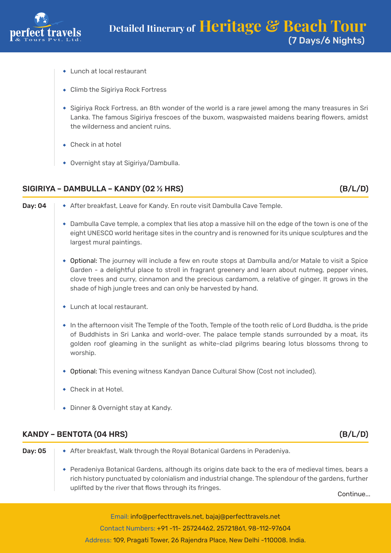

- Lunch at local restaurant
- Climb the Sigiriya Rock Fortress
- Sigiriya Rock Fortress, an 8th wonder of the world is a rare jewel among the many treasures in Sri Lanka. The famous Sigiriya frescoes of the buxom, waspwaisted maidens bearing flowers, amidst the wilderness and ancient ruins.
- ◆ Check in at hotel
- Overnight stay at Sigiriya/Dambulla.

# SIGIRIYA – DAMBULLA – KANDY (02 ½ HRS) (B/L/D)

- 
- Day: 04 After breakfast, Leave for Kandy. En route visit Dambulla Cave Temple.
	- Dambulla Cave temple, a complex that lies atop a massive hill on the edge of the town is one of the eight UNESCO world heritage sites in the country and is renowned for its unique sculptures and the largest mural paintings.
	- Optional: The journey will include a few en route stops at Dambulla and/or Matale to visit a Spice Garden - a delightful place to stroll in fragrant greenery and learn about nutmeg, pepper vines, clove trees and curry, cinnamon and the precious cardamom, a relative of ginger. It grows in the shade of high jungle trees and can only be harvested by hand.
	- Lunch at local restaurant.
	- In the afternoon visit The Temple of the Tooth, Temple of the tooth relic of Lord Buddha, is the pride of Buddhists in Sri Lanka and world-over. The palace temple stands surrounded by a moat, its golden roof gleaming in the sunlight as white-clad pilgrims bearing lotus blossoms throng to worship.
	- Optional: This evening witness Kandyan Dance Cultural Show (Cost not included).
	- Check in at Hotel.
	- Dinner & Overnight stay at Kandy.

## KANDY – BENTOTA (04 HRS) (B/L/D)

- **Day: 05**  $\rightarrow$  After breakfast, Walk through the Royal Botanical Gardens in Peradeniya.
	- Peradeniya Botanical Gardens, although its origins date back to the era of medieval times, bears a rich history punctuated by colonialism and industrial change. The splendour of the gardens, further uplifted by the river that flows through its fringes.

Continue...